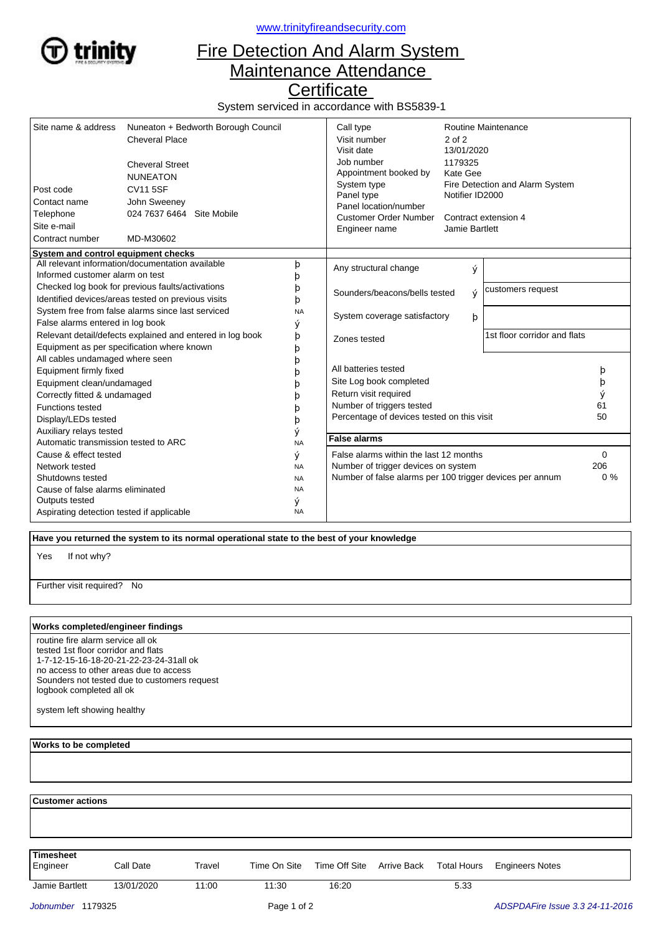

<www.trinityfireandsecurity.com>

## Fire Detection And Alarm System Maintenance Attendance

**Certificate** 

System serviced in accordance with BS5839-1

| Site name & address                                                                                                                                                                                 | Nuneaton + Bedworth Borough Council<br><b>Cheveral Place</b><br><b>Cheveral Street</b><br><b>NUNEATON</b><br><b>CV11 5SF</b><br>John Sweeney<br>024 7637 6464 Site Mobile<br>MD-M30602 |                                          | Call type<br>Visit number<br>Visit date<br>Job number<br>Appointment booked by                                                                                                                      | Routine Maintenance<br>$2$ of $2$<br>13/01/2020<br>1179325<br>Kate Gee |                             |                         |
|-----------------------------------------------------------------------------------------------------------------------------------------------------------------------------------------------------|----------------------------------------------------------------------------------------------------------------------------------------------------------------------------------------|------------------------------------------|-----------------------------------------------------------------------------------------------------------------------------------------------------------------------------------------------------|------------------------------------------------------------------------|-----------------------------|-------------------------|
| Post code<br>Contact name<br>Telephone<br>Site e-mail<br>Contract number                                                                                                                            |                                                                                                                                                                                        |                                          | System type<br>Fire Detection and Alarm System<br>Panel type<br>Notifier ID2000<br>Panel location/number<br><b>Customer Order Number</b><br>Contract extension 4<br>Jamie Bartlett<br>Engineer name |                                                                        |                             |                         |
| System and control equipment checks                                                                                                                                                                 |                                                                                                                                                                                        |                                          |                                                                                                                                                                                                     |                                                                        |                             |                         |
| Informed customer alarm on test                                                                                                                                                                     | All relevant information/documentation available                                                                                                                                       | þ<br>b                                   | Any structural change                                                                                                                                                                               | ý                                                                      |                             |                         |
| Checked log book for previous faults/activations<br>Identified devices/areas tested on previous visits                                                                                              |                                                                                                                                                                                        | b<br>þ                                   | customers request<br>Sounders/beacons/bells tested<br>Ý                                                                                                                                             |                                                                        |                             |                         |
| System free from false alarms since last serviced<br>False alarms entered in log book                                                                                                               |                                                                                                                                                                                        | <b>NA</b><br>ý                           | System coverage satisfactory<br>þ                                                                                                                                                                   |                                                                        |                             |                         |
| Relevant detail/defects explained and entered in log book<br>Equipment as per specification where known                                                                                             |                                                                                                                                                                                        | þ<br>þ                                   | 1st floor corridor and flats<br>Zones tested                                                                                                                                                        |                                                                        |                             |                         |
| All cables undamaged where seen<br>Equipment firmly fixed<br>Equipment clean/undamaged<br>Correctly fitted & undamaged<br><b>Functions tested</b><br>Display/LEDs tested<br>Auxiliary relays tested |                                                                                                                                                                                        | b<br>b<br>b<br>þ<br>ý                    | All batteries tested<br>Site Log book completed<br>Return visit required<br>Number of triggers tested<br>Percentage of devices tested on this visit                                                 |                                                                        |                             | þ<br>þ<br>ý<br>61<br>50 |
| Automatic transmission tested to ARC<br><b>NA</b>                                                                                                                                                   |                                                                                                                                                                                        |                                          | <b>False alarms</b>                                                                                                                                                                                 |                                                                        |                             |                         |
| Cause & effect tested<br>Network tested<br>Shutdowns tested<br>Cause of false alarms eliminated                                                                                                     |                                                                                                                                                                                        | ý<br><b>NA</b><br><b>NA</b><br><b>NA</b> | False alarms within the last 12 months<br>Number of trigger devices on system<br>Number of false alarms per 100 trigger devices per annum                                                           |                                                                        | $\mathbf 0$<br>206<br>$0\%$ |                         |
| Outputs tested<br>Aspirating detection tested if applicable                                                                                                                                         |                                                                                                                                                                                        | ý<br><b>NA</b>                           |                                                                                                                                                                                                     |                                                                        |                             |                         |

 **Have you returned the system to its normal operational state to the best of your knowledge**

If not why? Yes

Further visit required? No

## **Works completed/engineer findings**

routine fire alarm service all ok tested 1st floor corridor and flats 1-7-12-15-16-18-20-21-22-23-24-31all ok no access to other areas due to access Sounders not tested due to customers request logbook completed all ok

system left showing healthy

 **Works to be completed**

 **Customer actions**

**Timesheet**

Engineer Call Date Travel Time On Site Time Off Site Arrive Back Total Hours Engineers Notes

Jamie Bartlett 13/01/2020 11:00 11:30 16:20 5.33